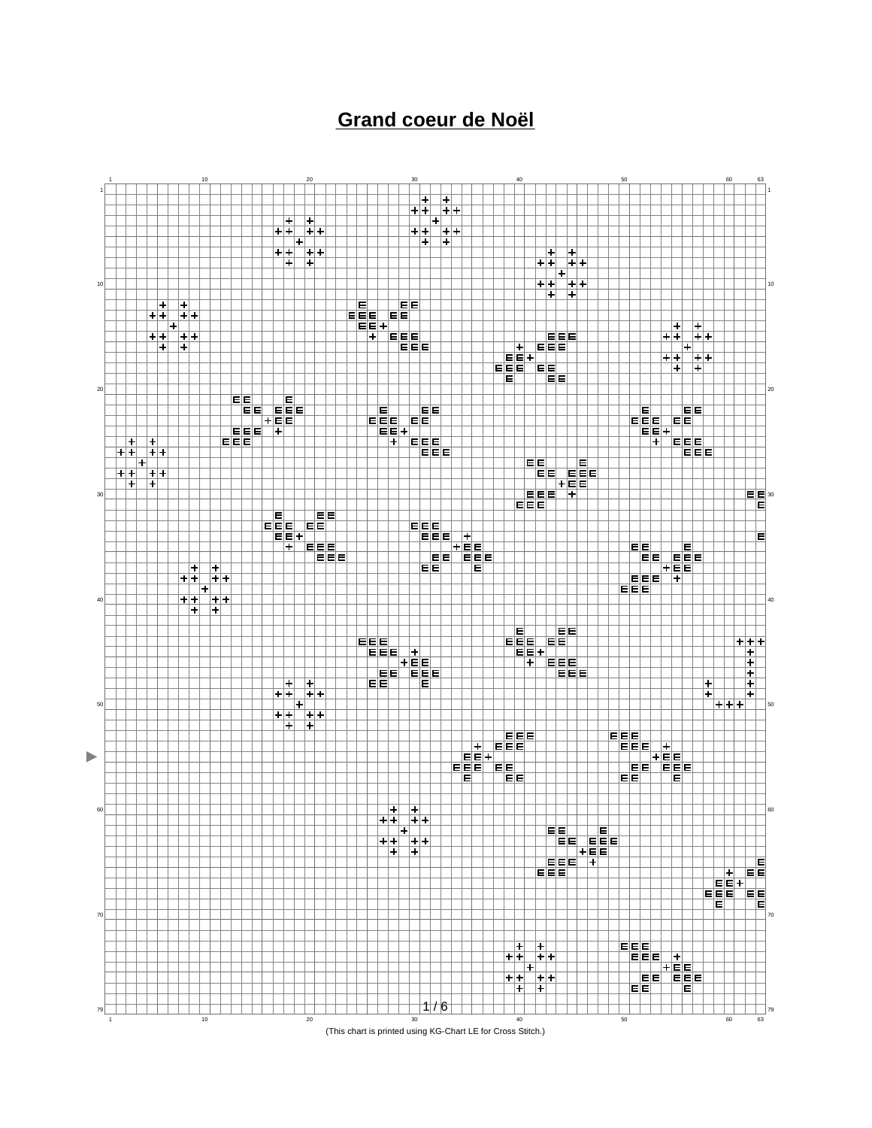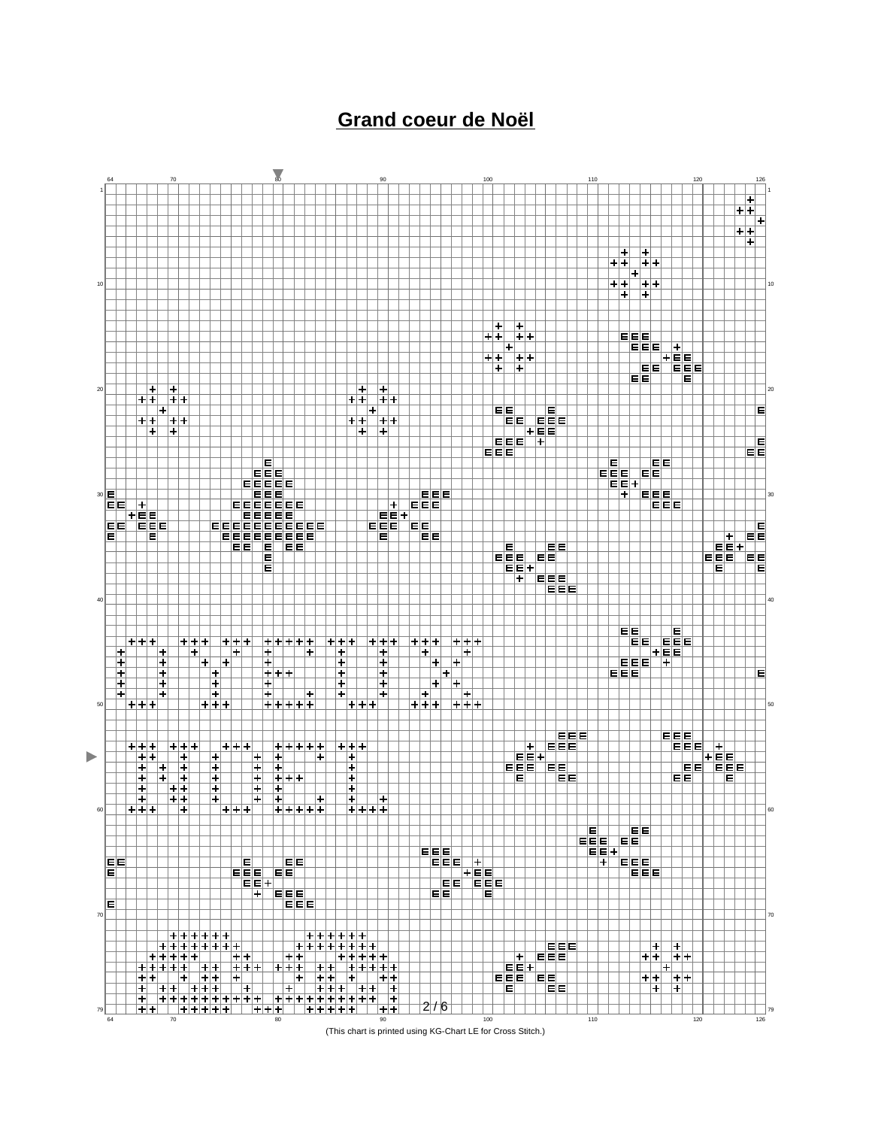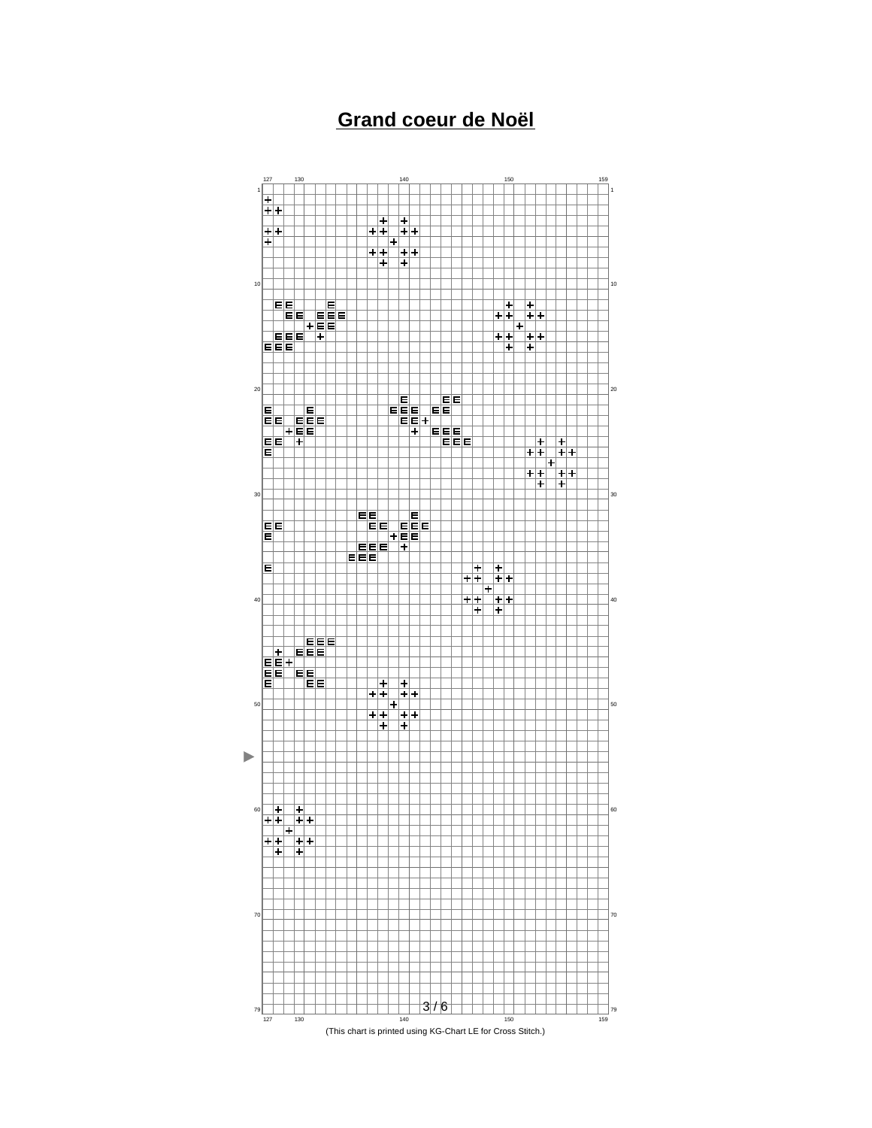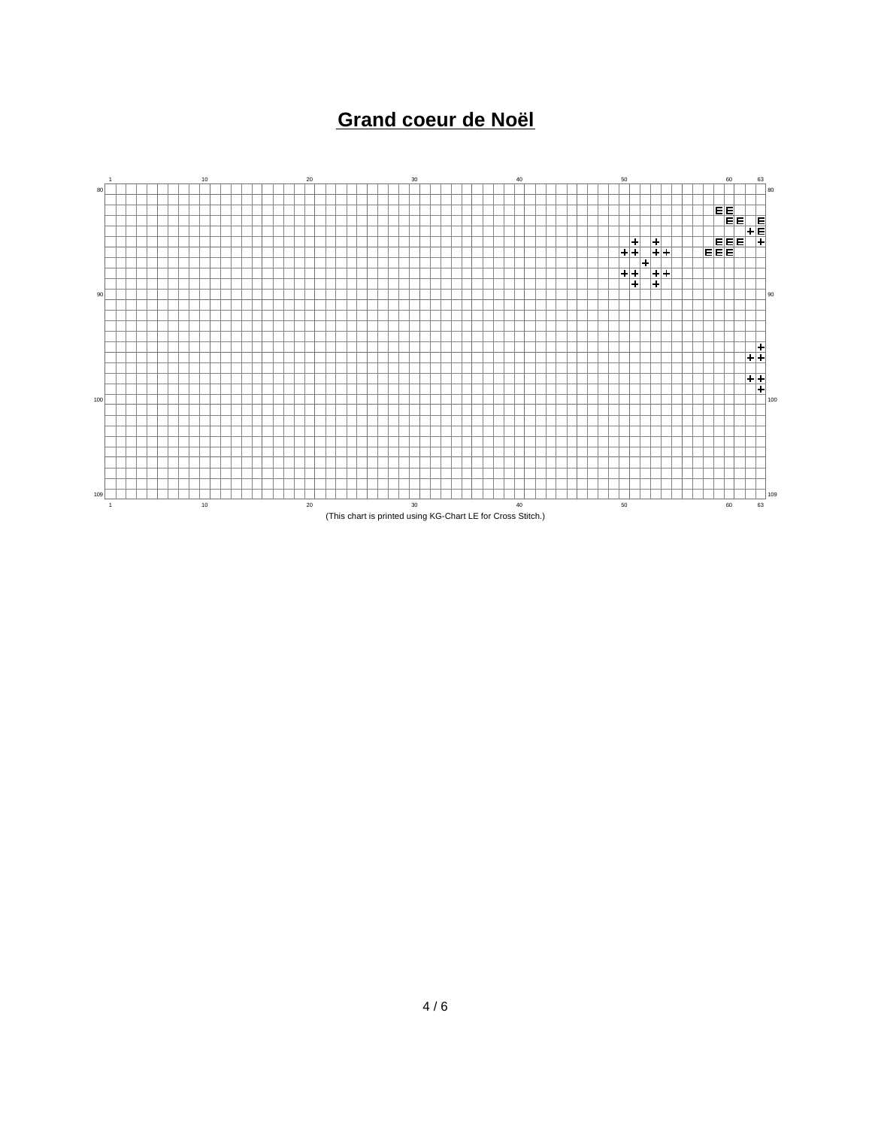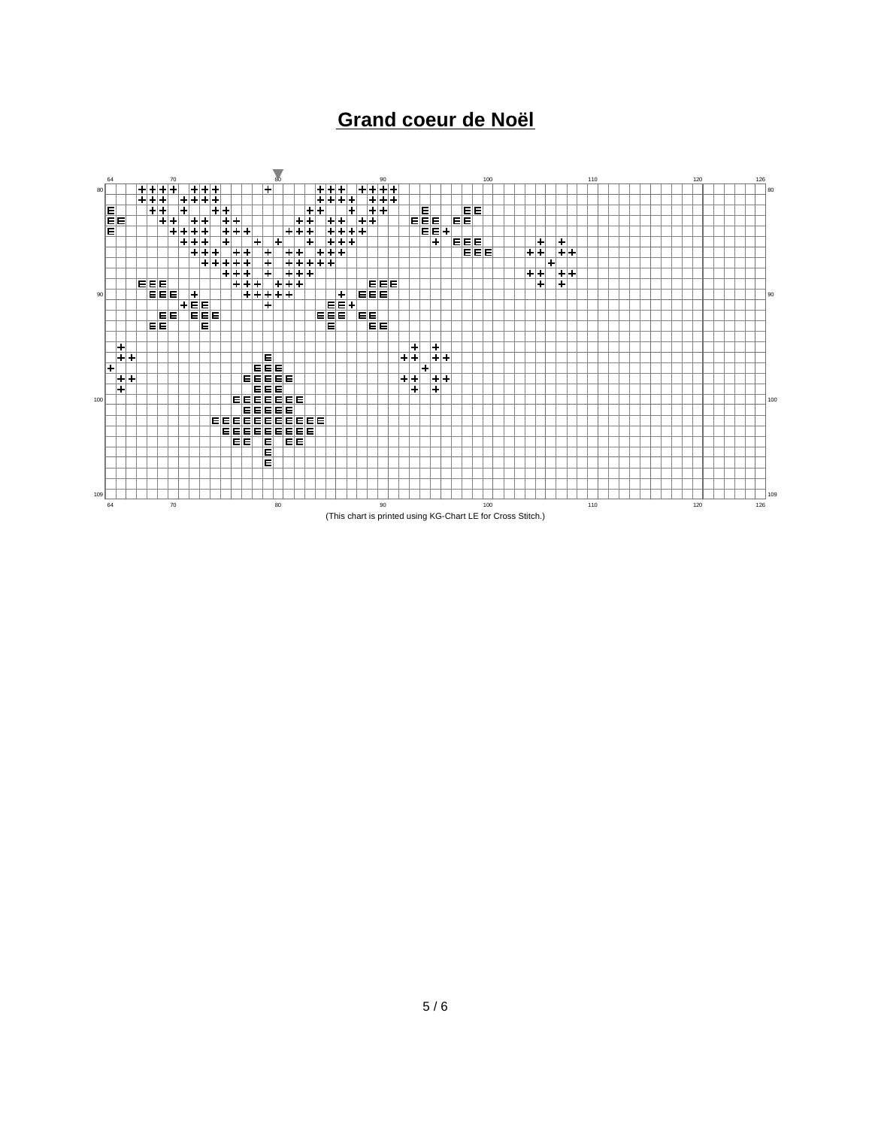